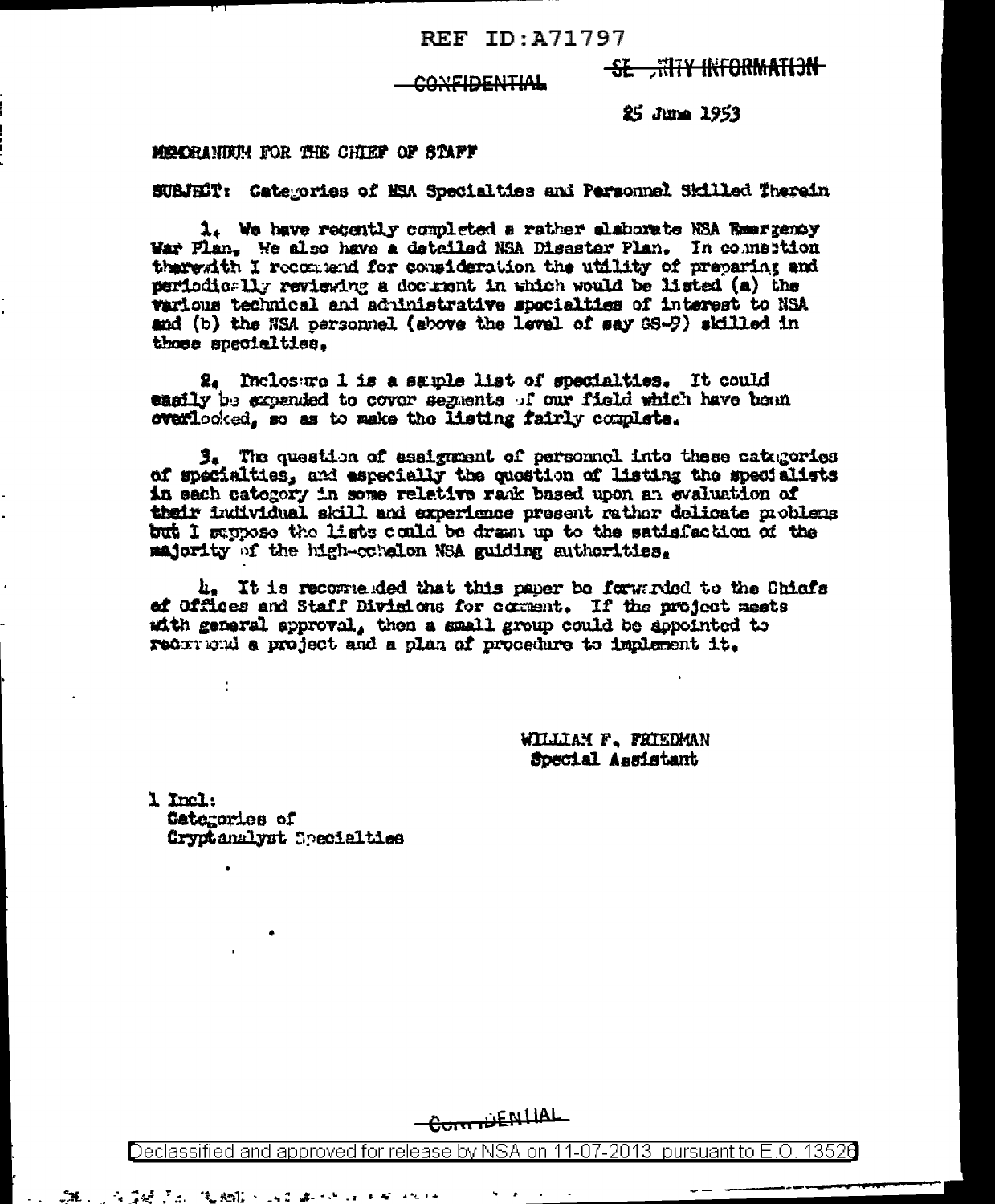#### REF ID: A71797

# **SE HITY INFORMATION**

## COVEIDENTIAL

25 June 1953

#### MOCRANING FOR THE CHIEF OF STAFF

SUBJET: Categories of MSA Specialties and Personnel Skilled Therein

1. We have recently completed a rather alaborate NSA Reargency War Flan. We also have a detailed NSA Disaster Plan. In commestion therewith I recommend for consideration the utility of preparing and periodically reviewing a document in which would be listed (a) the warious technical and administrative specialties of interest to NSA and (b) the NSA personnel (above the level of say GS-9) skilled in those specialties.

2. Inclosure 1 is a sample list of specialties. It could easily be axpanded to covor segments of our field which have boun overlooked, so as to make the listing fairly complete.

3. The question of assignment of personnel into these categories of specialties, and especially the question of listing the specialists in each catogory in some relative rank based upon an evaluation of their individual skill and experience present rather delicate problems but I suppose the lists could be dram up to the satisfaction of the majority of the high-cohalon NSA guiding authorities.

4. It is recogneded that this paper be forwarded to the Chiefs of Offices and Staff Divisions for comment. If the project meets with general approval, then a small group could be appointed to recorrend a project and a plan of procedure to implement it.

> WILLIAM F. FRIEDMAN Special Assistant

1 Incl. Catarories of Gryptanalyst Specialties

Ì.

医黄连菌素 化硫酸氢 医乙酰

ĴН.,

CommENTIAL

Declassified and approved for release by NSA on 11-07-2013 pursuant to E.O. 13520